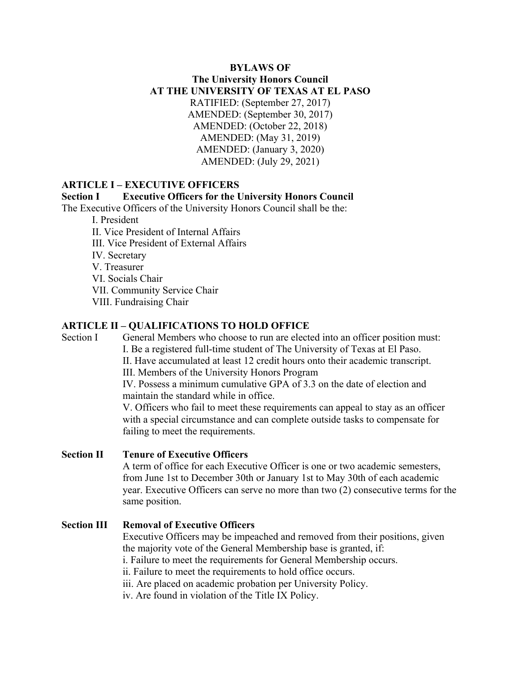### **BYLAWS OF The University Honors Council AT THE UNIVERSITY OF TEXAS AT EL PASO** RATIFIED: (September 27, 2017) AMENDED: (September 30, 2017) AMENDED: (October 22, 2018) AMENDED: (May 31, 2019) AMENDED: (January 3, 2020) AMENDED: (July 29, 2021)

#### **ARTICLE I – EXECUTIVE OFFICERS**

#### **Section I Executive Officers for the University Honors Council**

The Executive Officers of the University Honors Council shall be the:

- I. President
- II. Vice President of Internal Affairs
- III. Vice President of External Affairs
- IV. Secretary
- V. Treasurer
- VI. Socials Chair
- VII. Community Service Chair
- VIII. Fundraising Chair

#### **ARTICLE II – QUALIFICATIONS TO HOLD OFFICE**

Section I General Members who choose to run are elected into an officer position must: I. Be a registered full-time student of The University of Texas at El Paso. II. Have accumulated at least 12 credit hours onto their academic transcript. III. Members of the University Honors Program IV. Possess a minimum cumulative GPA of 3.3 on the date of election and maintain the standard while in office. V. Officers who fail to meet these requirements can appeal to stay as an officer with a special circumstance and can complete outside tasks to compensate for failing to meet the requirements.

## **Section II Tenure of Executive Officers**

A term of office for each Executive Officer is one or two academic semesters, from June 1st to December 30th or January 1st to May 30th of each academic year. Executive Officers can serve no more than two (2) consecutive terms for the same position.

#### **Section III Removal of Executive Officers**

Executive Officers may be impeached and removed from their positions, given the majority vote of the General Membership base is granted, if: i. Failure to meet the requirements for General Membership occurs. ii. Failure to meet the requirements to hold office occurs. iii. Are placed on academic probation per University Policy. iv. Are found in violation of the Title IX Policy.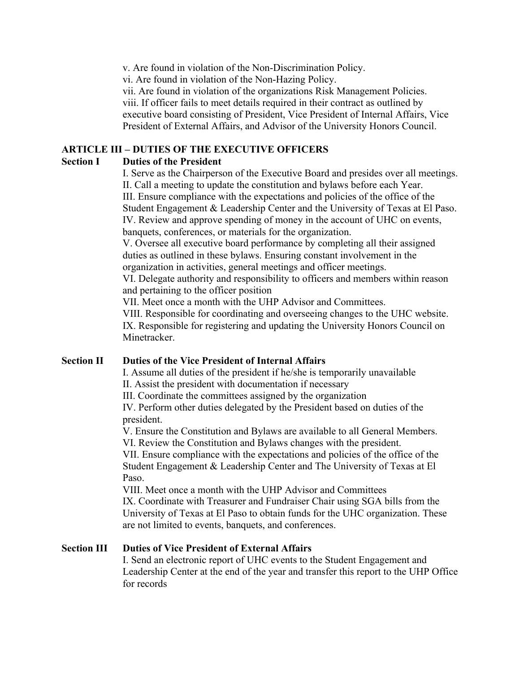v. Are found in violation of the Non-Discrimination Policy.

vi. Are found in violation of the Non-Hazing Policy.

vii. Are found in violation of the organizations Risk Management Policies. viii. If officer fails to meet details required in their contract as outlined by executive board consisting of President, Vice President of Internal Affairs, Vice President of External Affairs, and Advisor of the University Honors Council.

## **ARTICLE III – DUTIES OF THE EXECUTIVE OFFICERS**

### **Section I Duties of the President**

I. Serve as the Chairperson of the Executive Board and presides over all meetings. II. Call a meeting to update the constitution and bylaws before each Year. III. Ensure compliance with the expectations and policies of the office of the Student Engagement & Leadership Center and the University of Texas at El Paso. IV. Review and approve spending of money in the account of UHC on events, banquets, conferences, or materials for the organization.

V. Oversee all executive board performance by completing all their assigned duties as outlined in these bylaws. Ensuring constant involvement in the organization in activities, general meetings and officer meetings.

VI. Delegate authority and responsibility to officers and members within reason and pertaining to the officer position

VII. Meet once a month with the UHP Advisor and Committees.

VIII. Responsible for coordinating and overseeing changes to the UHC website. IX. Responsible for registering and updating the University Honors Council on Minetracker.

# **Section II Duties of the Vice President of Internal Affairs**

I. Assume all duties of the president if he/she is temporarily unavailable

II. Assist the president with documentation if necessary

III. Coordinate the committees assigned by the organization

IV. Perform other duties delegated by the President based on duties of the president.

V. Ensure the Constitution and Bylaws are available to all General Members. VI. Review the Constitution and Bylaws changes with the president.

VII. Ensure compliance with the expectations and policies of the office of the Student Engagement & Leadership Center and The University of Texas at El Paso.

VIII. Meet once a month with the UHP Advisor and Committees IX. Coordinate with Treasurer and Fundraiser Chair using SGA bills from the University of Texas at El Paso to obtain funds for the UHC organization. These are not limited to events, banquets, and conferences.

## **Section III Duties of Vice President of External Affairs**

I. Send an electronic report of UHC events to the Student Engagement and Leadership Center at the end of the year and transfer this report to the UHP Office for records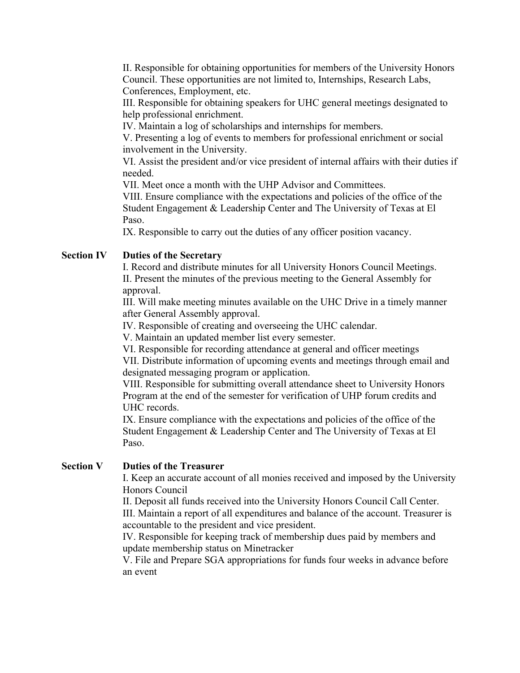II. Responsible for obtaining opportunities for members of the University Honors Council. These opportunities are not limited to, Internships, Research Labs, Conferences, Employment, etc.

III. Responsible for obtaining speakers for UHC general meetings designated to help professional enrichment.

IV. Maintain a log of scholarships and internships for members.

V. Presenting a log of events to members for professional enrichment or social involvement in the University.

VI. Assist the president and/or vice president of internal affairs with their duties if needed.

VII. Meet once a month with the UHP Advisor and Committees.

VIII. Ensure compliance with the expectations and policies of the office of the Student Engagement & Leadership Center and The University of Texas at El Paso.

IX. Responsible to carry out the duties of any officer position vacancy.

### **Section IV Duties of the Secretary**

I. Record and distribute minutes for all University Honors Council Meetings. II. Present the minutes of the previous meeting to the General Assembly for approval.

III. Will make meeting minutes available on the UHC Drive in a timely manner after General Assembly approval.

IV. Responsible of creating and overseeing the UHC calendar.

V. Maintain an updated member list every semester.

VI. Responsible for recording attendance at general and officer meetings

VII. Distribute information of upcoming events and meetings through email and designated messaging program or application.

VIII. Responsible for submitting overall attendance sheet to University Honors Program at the end of the semester for verification of UHP forum credits and UHC records.

IX. Ensure compliance with the expectations and policies of the office of the Student Engagement & Leadership Center and The University of Texas at El Paso.

#### **Section V Duties of the Treasurer**

I. Keep an accurate account of all monies received and imposed by the University Honors Council

II. Deposit all funds received into the University Honors Council Call Center. III. Maintain a report of all expenditures and balance of the account. Treasurer is accountable to the president and vice president.

IV. Responsible for keeping track of membership dues paid by members and update membership status on Minetracker

V. File and Prepare SGA appropriations for funds four weeks in advance before an event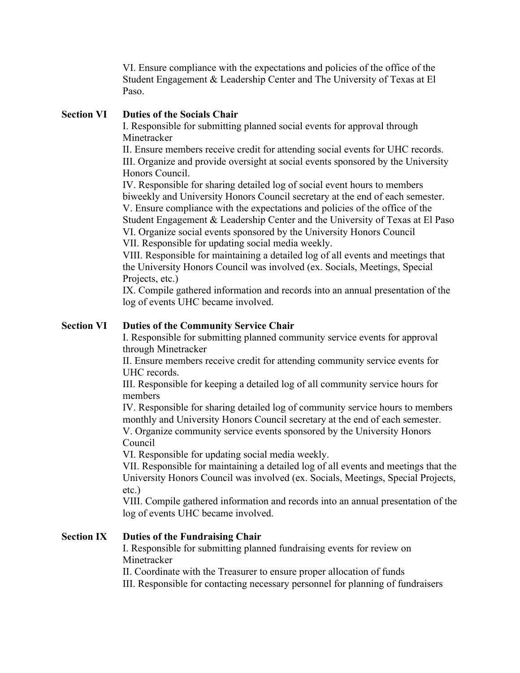VI. Ensure compliance with the expectations and policies of the office of the Student Engagement & Leadership Center and The University of Texas at El Paso.

### **Section VI Duties of the Socials Chair**

I. Responsible for submitting planned social events for approval through Minetracker

II. Ensure members receive credit for attending social events for UHC records. III. Organize and provide oversight at social events sponsored by the University Honors Council.

IV. Responsible for sharing detailed log of social event hours to members biweekly and University Honors Council secretary at the end of each semester. V. Ensure compliance with the expectations and policies of the office of the Student Engagement & Leadership Center and the University of Texas at El Paso VI. Organize social events sponsored by the University Honors Council VII. Responsible for updating social media weekly.

VIII. Responsible for maintaining a detailed log of all events and meetings that the University Honors Council was involved (ex. Socials, Meetings, Special Projects, etc.)

IX. Compile gathered information and records into an annual presentation of the log of events UHC became involved.

### **Section VI Duties of the Community Service Chair**

I. Responsible for submitting planned community service events for approval through Minetracker

II. Ensure members receive credit for attending community service events for UHC records.

III. Responsible for keeping a detailed log of all community service hours for members

IV. Responsible for sharing detailed log of community service hours to members monthly and University Honors Council secretary at the end of each semester.

V. Organize community service events sponsored by the University Honors Council

VI. Responsible for updating social media weekly.

VII. Responsible for maintaining a detailed log of all events and meetings that the University Honors Council was involved (ex. Socials, Meetings, Special Projects, etc.)

VIII. Compile gathered information and records into an annual presentation of the log of events UHC became involved.

## **Section IX Duties of the Fundraising Chair**

I. Responsible for submitting planned fundraising events for review on Minetracker

II. Coordinate with the Treasurer to ensure proper allocation of funds

III. Responsible for contacting necessary personnel for planning of fundraisers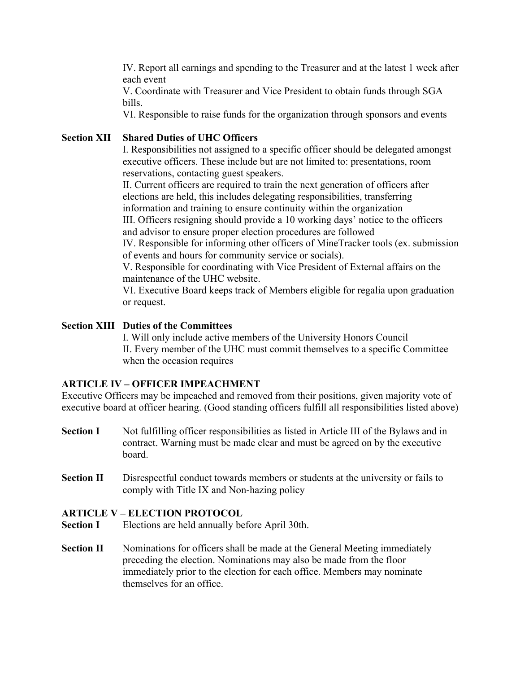IV. Report all earnings and spending to the Treasurer and at the latest 1 week after each event

V. Coordinate with Treasurer and Vice President to obtain funds through SGA bills.

VI. Responsible to raise funds for the organization through sponsors and events

### **Section XII Shared Duties of UHC Officers**

I. Responsibilities not assigned to a specific officer should be delegated amongst executive officers. These include but are not limited to: presentations, room reservations, contacting guest speakers.

II. Current officers are required to train the next generation of officers after elections are held, this includes delegating responsibilities, transferring information and training to ensure continuity within the organization

III. Officers resigning should provide a 10 working days' notice to the officers and advisor to ensure proper election procedures are followed

IV. Responsible for informing other officers of MineTracker tools (ex. submission of events and hours for community service or socials).

V. Responsible for coordinating with Vice President of External affairs on the maintenance of the UHC website.

VI. Executive Board keeps track of Members eligible for regalia upon graduation or request.

#### **Section XIII Duties of the Committees**

I. Will only include active members of the University Honors Council II. Every member of the UHC must commit themselves to a specific Committee when the occasion requires

#### **ARTICLE IV – OFFICER IMPEACHMENT**

Executive Officers may be impeached and removed from their positions, given majority vote of executive board at officer hearing. (Good standing officers fulfill all responsibilities listed above)

- **Section I** Not fulfilling officer responsibilities as listed in Article III of the Bylaws and in contract. Warning must be made clear and must be agreed on by the executive board.
- **Section II** Disrespectful conduct towards members or students at the university or fails to comply with Title IX and Non-hazing policy

#### **ARTICLE V – ELECTION PROTOCOL**

- **Section I** Elections are held annually before April 30th.
- **Section II** Nominations for officers shall be made at the General Meeting immediately preceding the election. Nominations may also be made from the floor immediately prior to the election for each office. Members may nominate themselves for an office.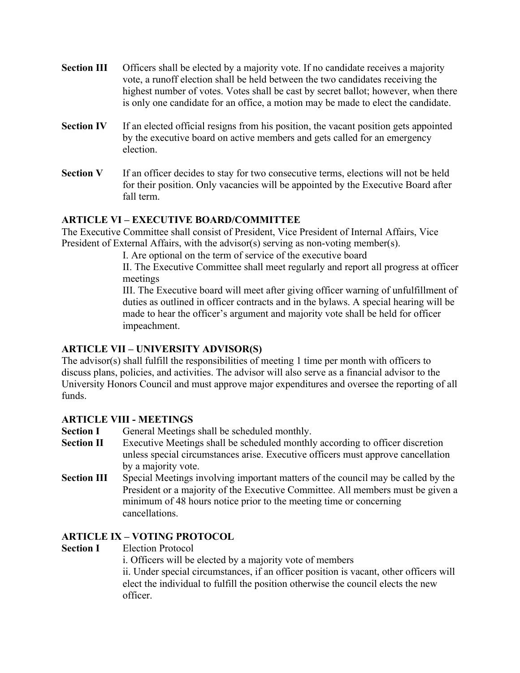- **Section III** Officers shall be elected by a majority vote. If no candidate receives a majority vote, a runoff election shall be held between the two candidates receiving the highest number of votes. Votes shall be cast by secret ballot; however, when there is only one candidate for an office, a motion may be made to elect the candidate.
- **Section IV** If an elected official resigns from his position, the vacant position gets appointed by the executive board on active members and gets called for an emergency election.
- **Section V** If an officer decides to stay for two consecutive terms, elections will not be held for their position. Only vacancies will be appointed by the Executive Board after fall term.

# **ARTICLE VI – EXECUTIVE BOARD/COMMITTEE**

The Executive Committee shall consist of President, Vice President of Internal Affairs, Vice President of External Affairs, with the advisor(s) serving as non-voting member(s).

I. Are optional on the term of service of the executive board

II. The Executive Committee shall meet regularly and report all progress at officer meetings

III. The Executive board will meet after giving officer warning of unfulfillment of duties as outlined in officer contracts and in the bylaws. A special hearing will be made to hear the officer's argument and majority vote shall be held for officer impeachment.

## **ARTICLE VII – UNIVERSITY ADVISOR(S)**

The advisor(s) shall fulfill the responsibilities of meeting 1 time per month with officers to discuss plans, policies, and activities. The advisor will also serve as a financial advisor to the University Honors Council and must approve major expenditures and oversee the reporting of all funds.

## **ARTICLE VIII - MEETINGS**

- **Section I** General Meetings shall be scheduled monthly.
- **Section II** Executive Meetings shall be scheduled monthly according to officer discretion unless special circumstances arise. Executive officers must approve cancellation by a majority vote.
- **Section III** Special Meetings involving important matters of the council may be called by the President or a majority of the Executive Committee. All members must be given a minimum of 48 hours notice prior to the meeting time or concerning cancellations.

## **ARTICLE IX – VOTING PROTOCOL**

**Section I** Election Protocol

i. Officers will be elected by a majority vote of members

ii. Under special circumstances, if an officer position is vacant, other officers will elect the individual to fulfill the position otherwise the council elects the new officer.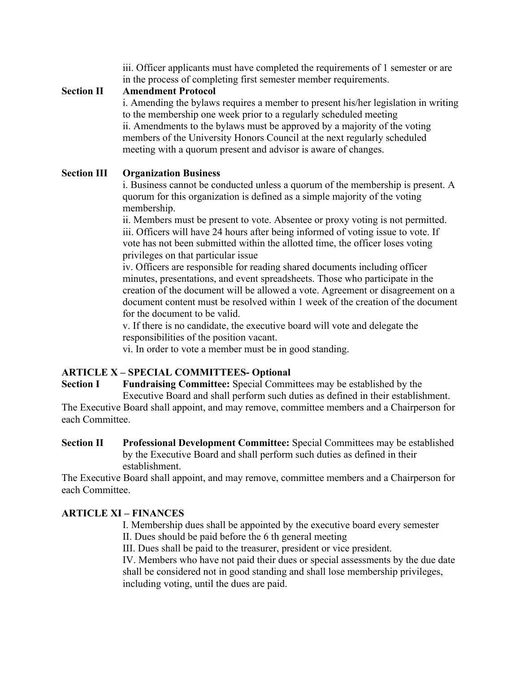iii. Officer applicants must have completed the requirements of 1 semester or are in the process of completing first semester member requirements.

### **Section II Amendment Protocol**

i. Amending the bylaws requires a member to present his/her legislation in writing to the membership one week prior to a regularly scheduled meeting ii. Amendments to the bylaws must be approved by a majority of the voting members of the University Honors Council at the next regularly scheduled meeting with a quorum present and advisor is aware of changes.

## **Section III Organization Business**

i. Business cannot be conducted unless a quorum of the membership is present. A quorum for this organization is defined as a simple majority of the voting membership.

ii. Members must be present to vote. Absentee or proxy voting is not permitted. iii. Officers will have 24 hours after being informed of voting issue to vote. If vote has not been submitted within the allotted time, the officer loses voting privileges on that particular issue

iv. Officers are responsible for reading shared documents including officer minutes, presentations, and event spreadsheets. Those who participate in the creation of the document will be allowed a vote. Agreement or disagreement on a document content must be resolved within 1 week of the creation of the document for the document to be valid.

v. If there is no candidate, the executive board will vote and delegate the responsibilities of the position vacant.

vi. In order to vote a member must be in good standing.

# **ARTICLE X – SPECIAL COMMITTEES- Optional**

**Section I** Fundraising Committee: Special Committees may be established by the Executive Board and shall perform such duties as defined in their establishment.

The Executive Board shall appoint, and may remove, committee members and a Chairperson for each Committee.

**Section II Professional Development Committee:** Special Committees may be established by the Executive Board and shall perform such duties as defined in their establishment.

The Executive Board shall appoint, and may remove, committee members and a Chairperson for each Committee.

## **ARTICLE XI – FINANCES**

I. Membership dues shall be appointed by the executive board every semester II. Dues should be paid before the 6 th general meeting

III. Dues shall be paid to the treasurer, president or vice president.

IV. Members who have not paid their dues or special assessments by the due date shall be considered not in good standing and shall lose membership privileges, including voting, until the dues are paid.